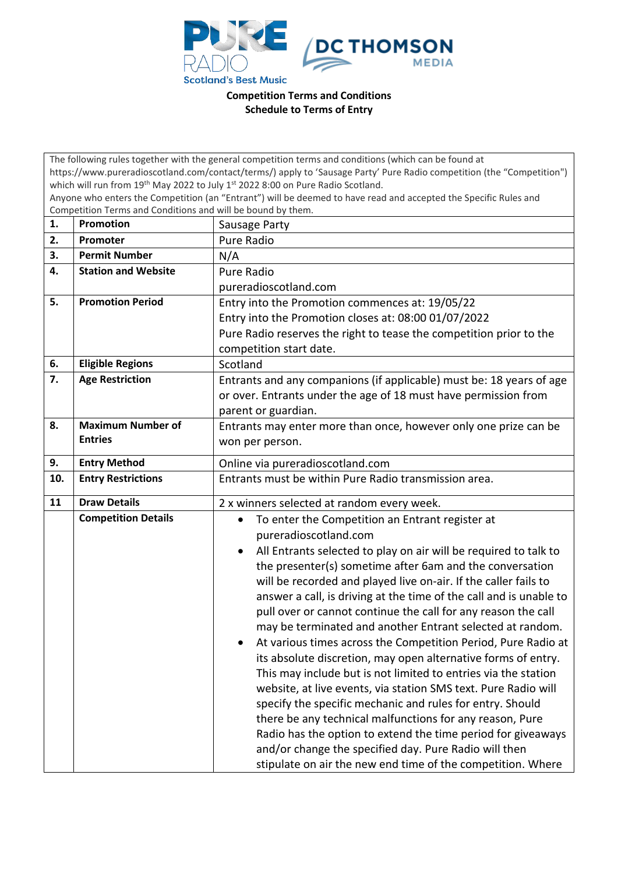

**Competition Terms and Conditions Schedule to Terms of Entry**

| The following rules together with the general competition terms and conditions (which can be found at                                                                           |                            |                                                                               |  |  |
|---------------------------------------------------------------------------------------------------------------------------------------------------------------------------------|----------------------------|-------------------------------------------------------------------------------|--|--|
| https://www.pureradioscotland.com/contact/terms/) apply to 'Sausage Party' Pure Radio competition (the "Competition")                                                           |                            |                                                                               |  |  |
| which will run from 19 <sup>th</sup> May 2022 to July 1 <sup>st</sup> 2022 8:00 on Pure Radio Scotland.                                                                         |                            |                                                                               |  |  |
| Anyone who enters the Competition (an "Entrant") will be deemed to have read and accepted the Specific Rules and<br>Competition Terms and Conditions and will be bound by them. |                            |                                                                               |  |  |
| 1.                                                                                                                                                                              | <b>Promotion</b>           | Sausage Party                                                                 |  |  |
| 2.                                                                                                                                                                              | Promoter                   | Pure Radio                                                                    |  |  |
| 3.                                                                                                                                                                              | <b>Permit Number</b>       |                                                                               |  |  |
|                                                                                                                                                                                 |                            | N/A                                                                           |  |  |
| 4.                                                                                                                                                                              | <b>Station and Website</b> | Pure Radio                                                                    |  |  |
|                                                                                                                                                                                 |                            | pureradioscotland.com                                                         |  |  |
| 5.                                                                                                                                                                              | <b>Promotion Period</b>    | Entry into the Promotion commences at: 19/05/22                               |  |  |
|                                                                                                                                                                                 |                            | Entry into the Promotion closes at: 08:00 01/07/2022                          |  |  |
|                                                                                                                                                                                 |                            | Pure Radio reserves the right to tease the competition prior to the           |  |  |
|                                                                                                                                                                                 |                            | competition start date.                                                       |  |  |
| 6.                                                                                                                                                                              | <b>Eligible Regions</b>    | Scotland                                                                      |  |  |
| 7.                                                                                                                                                                              | <b>Age Restriction</b>     | Entrants and any companions (if applicable) must be: 18 years of age          |  |  |
|                                                                                                                                                                                 |                            | or over. Entrants under the age of 18 must have permission from               |  |  |
|                                                                                                                                                                                 |                            | parent or guardian.                                                           |  |  |
| 8.                                                                                                                                                                              | <b>Maximum Number of</b>   | Entrants may enter more than once, however only one prize can be              |  |  |
|                                                                                                                                                                                 | <b>Entries</b>             | won per person.                                                               |  |  |
| 9.                                                                                                                                                                              | <b>Entry Method</b>        | Online via pureradioscotland.com                                              |  |  |
| 10.                                                                                                                                                                             | <b>Entry Restrictions</b>  | Entrants must be within Pure Radio transmission area.                         |  |  |
|                                                                                                                                                                                 |                            |                                                                               |  |  |
| 11                                                                                                                                                                              | <b>Draw Details</b>        | 2 x winners selected at random every week.                                    |  |  |
|                                                                                                                                                                                 | <b>Competition Details</b> | To enter the Competition an Entrant register at<br>$\bullet$                  |  |  |
|                                                                                                                                                                                 |                            | pureradioscotland.com                                                         |  |  |
|                                                                                                                                                                                 |                            | All Entrants selected to play on air will be required to talk to<br>$\bullet$ |  |  |
|                                                                                                                                                                                 |                            | the presenter(s) sometime after 6am and the conversation                      |  |  |
|                                                                                                                                                                                 |                            | will be recorded and played live on-air. If the caller fails to               |  |  |
|                                                                                                                                                                                 |                            | answer a call, is driving at the time of the call and is unable to            |  |  |
|                                                                                                                                                                                 |                            | pull over or cannot continue the call for any reason the call                 |  |  |
|                                                                                                                                                                                 |                            | may be terminated and another Entrant selected at random.                     |  |  |
|                                                                                                                                                                                 |                            | At various times across the Competition Period, Pure Radio at<br>$\bullet$    |  |  |
|                                                                                                                                                                                 |                            | its absolute discretion, may open alternative forms of entry.                 |  |  |
|                                                                                                                                                                                 |                            | This may include but is not limited to entries via the station                |  |  |
|                                                                                                                                                                                 |                            | website, at live events, via station SMS text. Pure Radio will                |  |  |
|                                                                                                                                                                                 |                            | specify the specific mechanic and rules for entry. Should                     |  |  |
|                                                                                                                                                                                 |                            |                                                                               |  |  |
|                                                                                                                                                                                 |                            | there be any technical malfunctions for any reason, Pure                      |  |  |
|                                                                                                                                                                                 |                            | Radio has the option to extend the time period for giveaways                  |  |  |
|                                                                                                                                                                                 |                            | and/or change the specified day. Pure Radio will then                         |  |  |
|                                                                                                                                                                                 |                            | stipulate on air the new end time of the competition. Where                   |  |  |